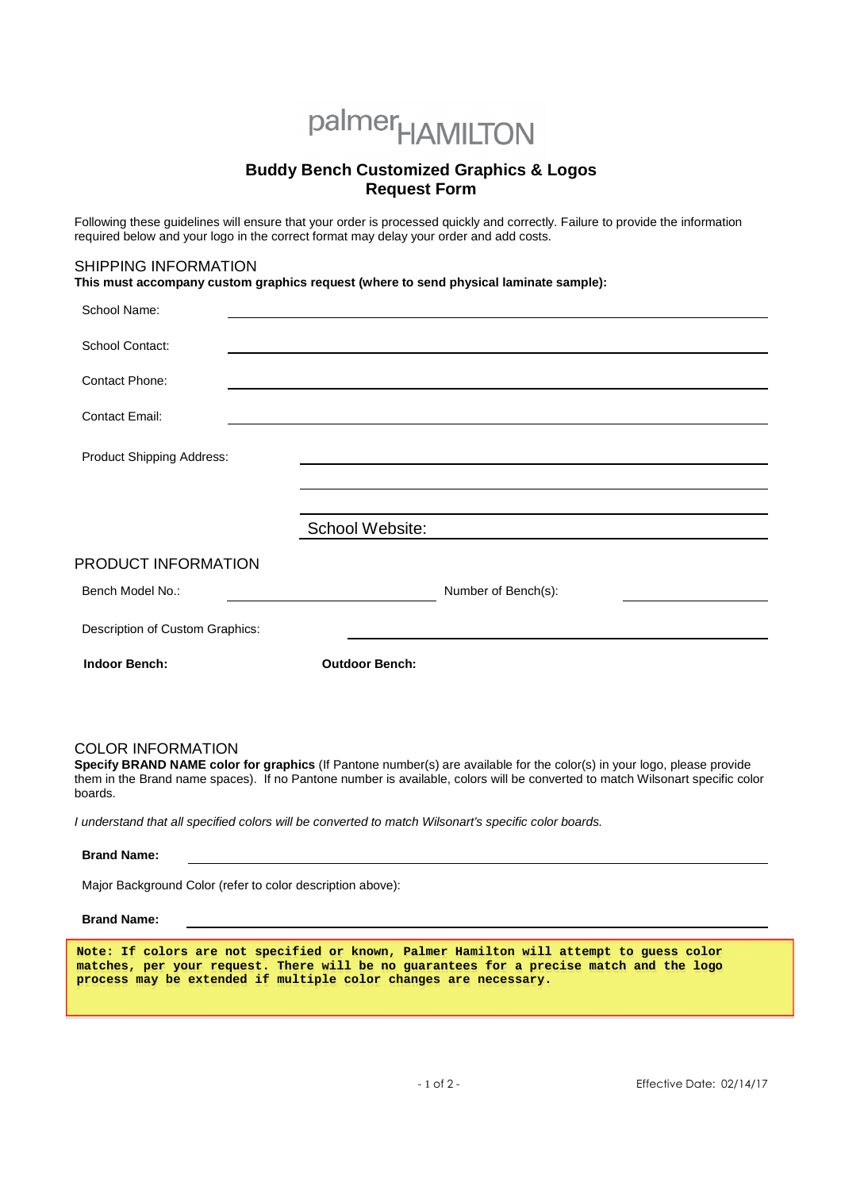# palmer<sub>HAMILTON</sub>

## **Buddy Bench Customized Graphics & Logos Request Form**

Following these guidelines will ensure that your order is processed quickly and correctly. Failure to provide the information required below and your logo in the correct format may delay your order and add costs.

## SHIPPING INFORMATION

**This must accompany custom graphics request (where to send physical laminate sample):** 

| School Name:                    |                       |                     |
|---------------------------------|-----------------------|---------------------|
| School Contact:                 |                       |                     |
| Contact Phone:                  |                       |                     |
| <b>Contact Email:</b>           |                       |                     |
| Product Shipping Address:       |                       |                     |
|                                 |                       |                     |
|                                 |                       |                     |
|                                 | School Website:       |                     |
| PRODUCT INFORMATION             |                       |                     |
| Bench Model No.:                |                       | Number of Bench(s): |
| Description of Custom Graphics: |                       |                     |
| <b>Indoor Bench:</b>            | <b>Outdoor Bench:</b> |                     |
|                                 |                       |                     |

## COLOR INFORMATION

**Specify BRAND NAME color for graphics** (If Pantone number(s) are available for the color(s) in your logo, please provide them in the Brand name spaces). If no Pantone number is available, colors will be converted to match Wilsonart specific color boards.

I understand that all specified colors will be converted to match Wilsonart's specific color boards.

#### **Brand Name:**

Major Background Color (refer to color description above):

#### **Brand Name:**

**Note: If colors are not specified or known, Palmer Hamilton will attempt to guess color matches, per your request. There will be no guarantees for a precise match and the logo process may be extended if multiple color changes are necessary.**